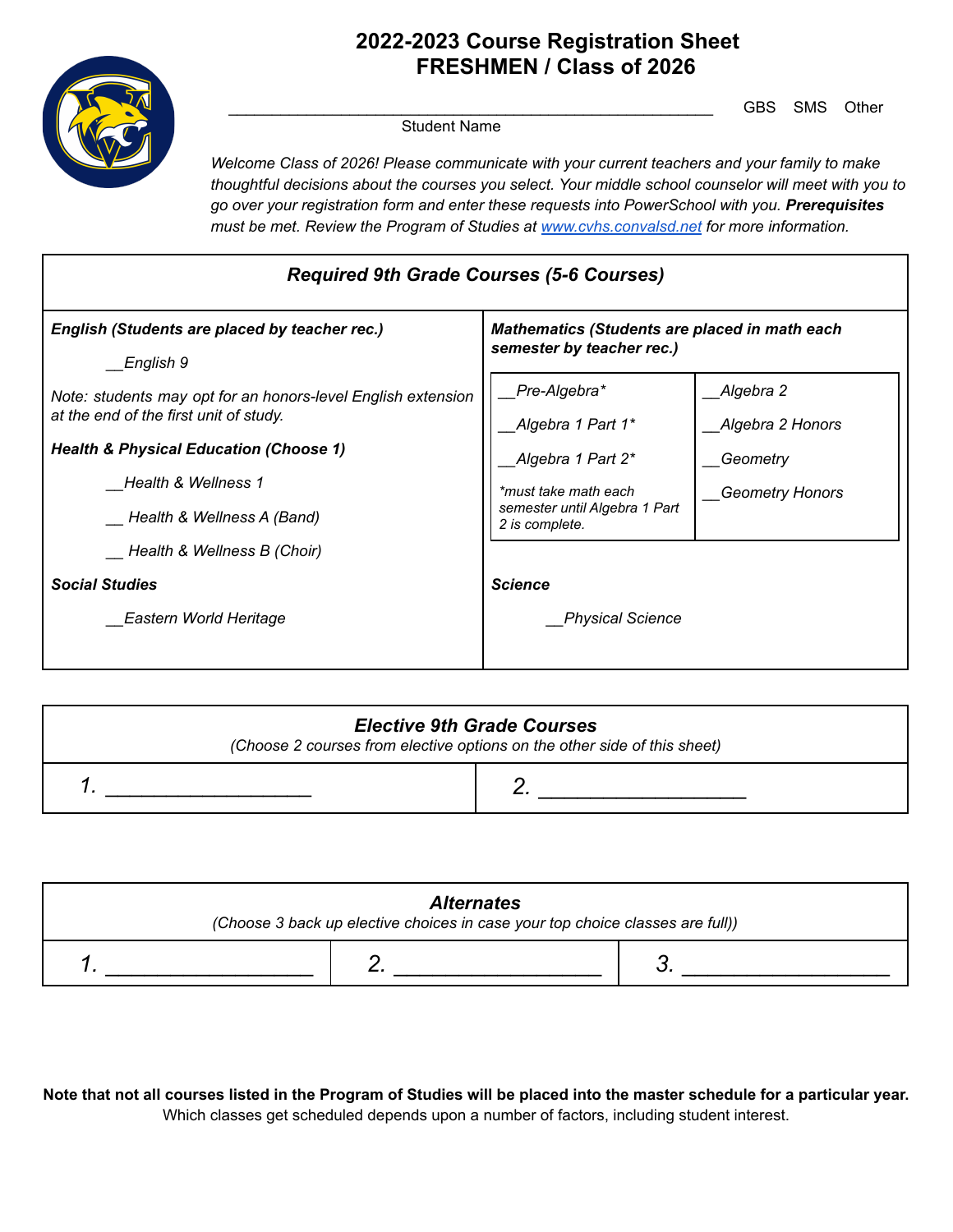

# **2022-2023 Course Registration Sheet FRESHMEN / Class of 2026**

GBS SMS Other

Student Name

*Welcome Class of 2026! Please communicate with your current teachers and your family to make thoughtful decisions about the courses you select. Your middle school counselor will meet with you to go over your registration form and enter these requests into PowerSchool with you. Prerequisites must be met. Review the Program of Studies at [www.cvhs.convalsd.net](http://www.cvhs.convalsd.net) for more information.*

| <b>Required 9th Grade Courses (5-6 Courses)</b>                                                                                                                                                                  |                                                                                                                 |                                                                     |
|------------------------------------------------------------------------------------------------------------------------------------------------------------------------------------------------------------------|-----------------------------------------------------------------------------------------------------------------|---------------------------------------------------------------------|
| English (Students are placed by teacher rec.)<br>English 9                                                                                                                                                       | <b>Mathematics (Students are placed in math each</b><br>semester by teacher rec.)                               |                                                                     |
| Note: students may opt for an honors-level English extension<br>at the end of the first unit of study.<br><b>Health &amp; Physical Education (Choose 1)</b><br>Health & Wellness 1<br>Health & Wellness A (Band) | Pre-Algebra*<br>Algebra 1 Part 1*<br>Algebra 1 Part 2*<br>*must take math each<br>semester until Algebra 1 Part | Algebra 2<br>Algebra 2 Honors<br>Geometry<br><b>Geometry Honors</b> |
| Health & Wellness B (Choir)<br><b>Social Studies</b><br><b>Eastern World Heritage</b>                                                                                                                            | 2 is complete.<br><b>Science</b><br><b>Physical Science</b>                                                     |                                                                     |

| <b>Elective 9th Grade Courses</b><br>(Choose 2 courses from elective options on the other side of this sheet) |  |
|---------------------------------------------------------------------------------------------------------------|--|
|                                                                                                               |  |

| <b>Alternates</b><br>(Choose 3 back up elective choices in case your top choice classes are full)) |  |  |
|----------------------------------------------------------------------------------------------------|--|--|
|                                                                                                    |  |  |

Note that not all courses listed in the Program of Studies will be placed into the master schedule for a particular year. Which classes get scheduled depends upon a number of factors, including student interest.